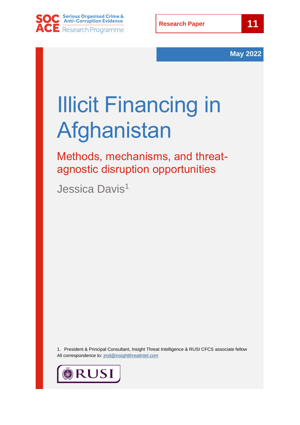



# Illicit Financing in Afghanistan

Methods, mechanisms, and threatagnostic disruption opportunities

Jessica Davis<sup>1</sup>

1. President & Principal Consultant, Insight Threat Intelligence & RUSI CFCS associate fellow All correspondence to: [jmd@insightthreatintel.com](mailto:jmd@insightthreatintel.com)

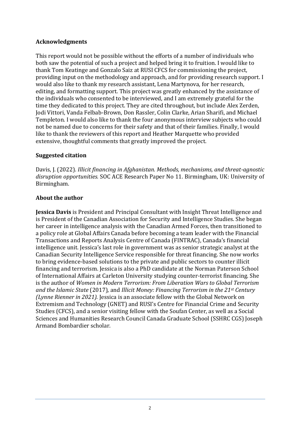#### **Acknowledgments**

This report would not be possible without the efforts of a number of individuals who both saw the potential of such a project and helped bring it to fruition. I would like to thank Tom Keatinge and Gonzalo Saiz at RUSI CFCS for commissioning the project, providing input on the methodology and approach, and for providing research support. I would also like to thank my research assistant, Lena Martynova, for her research, editing, and formatting support. This project was greatly enhanced by the assistance of the individuals who consented to be interviewed, and I am extremely grateful for the time they dedicated to this project. They are cited throughout, but include Alex Zerden, Jodi Vittori, Vanda Felbab-Brown, Don Rassler, Colin Clarke, Arian Sharifi, and Michael Templeton. I would also like to thank the four anonymous interview subjects who could not be named due to concerns for their safety and that of their families. Finally, I would like to thank the reviewers of this report and Heather Marquette who provided extensive, thoughtful comments that greatly improved the project.

#### **Suggested citation**

Davis, J. (2022). *Illicit financing in Afghanistan. Methods, mechanisms, and threat-agnostic disruption opportunities.* SOC ACE Research Paper No 11. Birmingham, UK: University of Birmingham.

#### **About the author**

**Jessica Davis** is President and Principal Consultant with Insight Threat Intelligence and is President of the Canadian Association for Security and Intelligence Studies. She began her career in intelligence analysis with the Canadian Armed Forces, then transitioned to a policy role at Global Affairs Canada before becoming a team leader with the Financial Transactions and Reports Analysis Centre of Canada (FINTRAC), Canada's financial intelligence unit. Jessica's last role in government was as senior strategic analyst at the Canadian Security Intelligence Service responsible for threat financing. She now works to bring evidence-based solutions to the private and public sectors to counter illicit financing and terrorism. Jessica is also a PhD candidate at the Norman Paterson School of International Affairs at Carleton University studying counter-terrorist financing. She is the author of *Women in Modern Terrorism: From Liberation Wars to Global Terrorism and the Islamic State* (2017)*,* and *Illicit Money: Financing Terrorism in the 21st Century (Lynne Rienner in 2021).* Jessica is an associate fellow with the Global Network on Extremism and Technology (GNET) and RUSI's Centre for Financial Crime and Security Studies (CFCS), and a senior visiting fellow with the Soufan Center, as well as a Social Sciences and Humanities Research Council Canada Graduate School (SSHRC CGS) Joseph Armand Bombardier scholar.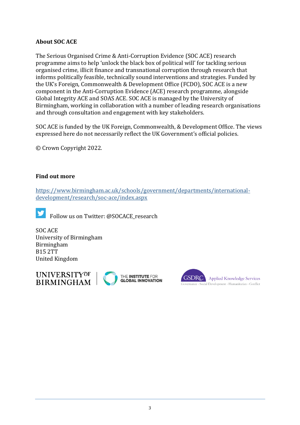#### **About SOC ACE**

The Serious Organised Crime & Anti-Corruption Evidence (SOC ACE) research programme aims to help 'unlock the black box of political will' for tackling serious organised crime, illicit finance and transnational corruption through research that informs politically feasible, technically sound interventions and strategies. Funded by the UK's Foreign, Commonwealth & Development Office (FCDO), SOC ACE is a new component in the Anti-Corruption Evidence (ACE) research programme, alongside Global Integrity ACE and SOAS ACE. SOC ACE is managed by the University of Birmingham, working in collaboration with a number of leading research organisations and through consultation and engagement with key stakeholders.

SOC ACE is funded by the UK Foreign, Commonwealth, & Development Office. The views expressed here do not necessarily reflect the UK Government's official policies.

© Crown Copyright 2022.

#### **Find out more**

[https://www.birmingham.ac.uk/schools/government/departments/international](https://www.birmingham.ac.uk/schools/government/departments/international-development/research/soc-ace/index.aspx)[development/research/soc-ace/index.aspx](https://www.birmingham.ac.uk/schools/government/departments/international-development/research/soc-ace/index.aspx)



SOC ACE University of Birmingham Birmingham B15 2TT United Kingdom



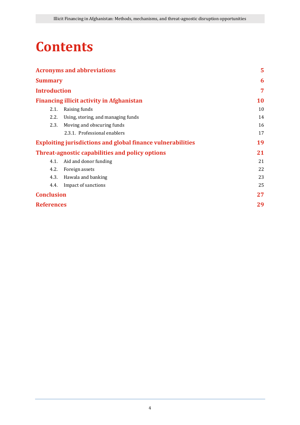### **Contents**

| <b>Acronyms and abbreviations</b>                                  |                                                  | 5         |
|--------------------------------------------------------------------|--------------------------------------------------|-----------|
| <b>Summary</b>                                                     |                                                  | 6         |
| <b>Introduction</b>                                                |                                                  | 7         |
|                                                                    | <b>Financing illicit activity in Afghanistan</b> | <b>10</b> |
| 2.1.                                                               | Raising funds                                    | 10        |
| 2.2.                                                               | Using, storing, and managing funds               | 14        |
| 2.3.                                                               | Moving and obscuring funds                       | 16        |
|                                                                    | 2.3.1. Professional enablers                     | 17        |
| <b>Exploiting jurisdictions and global finance vulnerabilities</b> |                                                  | 19        |
| <b>Threat-agnostic capabilities and policy options</b>             |                                                  | 21        |
| 4.1.                                                               | Aid and donor funding                            | 21        |
| 4.2.                                                               | Foreign assets                                   | 22        |
| 4.3.                                                               | Hawala and banking                               | 23        |
| 4.4.                                                               | Impact of sanctions                              | 25        |
| <b>Conclusion</b>                                                  |                                                  | 27        |
| <b>References</b>                                                  |                                                  | 29        |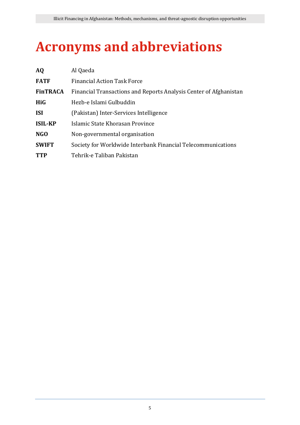# <span id="page-4-0"></span>**Acronyms and abbreviations**

| <b>AQ</b>       | Al Qaeda                                                          |  |
|-----------------|-------------------------------------------------------------------|--|
| <b>FATF</b>     | <b>Financial Action Task Force</b>                                |  |
| <b>FinTRACA</b> | Financial Transactions and Reports Analysis Center of Afghanistan |  |
| <b>HiG</b>      | Hezb-e Islami Gulbuddin                                           |  |
| <b>ISI</b>      | (Pakistan) Inter-Services Intelligence                            |  |
| <b>ISIL-KP</b>  | Islamic State Khorasan Province                                   |  |
| NGO             | Non-governmental organisation                                     |  |
| <b>SWIFT</b>    | Society for Worldwide Interbank Financial Telecommunications      |  |
| <b>TTP</b>      | Tehrik-e Taliban Pakistan                                         |  |
|                 |                                                                   |  |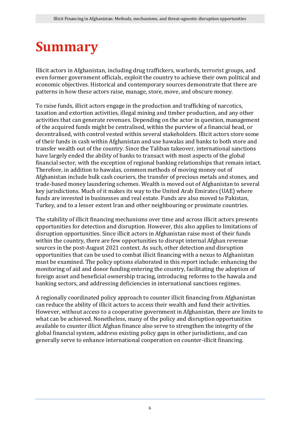# <span id="page-5-0"></span>**Summary**

Illicit actors in Afghanistan, including drug traffickers, warlords, terrorist groups, and even former government officials, exploit the country to achieve their own political and economic objectives. Historical and contemporary sources demonstrate that there are patterns in how these actors raise, manage, store, move, and obscure money.

To raise funds, illicit actors engage in the production and trafficking of narcotics, taxation and extortion activities, illegal mining and timber production, and any other activities that can generate revenues. Depending on the actor in question, management of the acquired funds might be centralised, within the purview of a financial head, or decentralised, with control vested within several stakeholders. Illicit actors store some of their funds in cash within Afghanistan and use hawalas and banks to both store and transfer wealth out of the country. Since the Taliban takeover, international sanctions have largely ended the ability of banks to transact with most aspects of the global financial sector, with the exception of regional banking relationships that remain intact. Therefore, in addition to hawalas, common methods of moving money out of Afghanistan include bulk cash couriers, the transfer of precious metals and stones, and trade-based money laundering schemes. Wealth is moved out of Afghanistan to several key jurisdictions. Much of it makes its way to the United Arab Emirates (UAE) where funds are invested in businesses and real estate. Funds are also moved to Pakistan, Turkey, and to a lesser extent Iran and other neighbouring or proximate countries.

The stability of illicit financing mechanisms over time and across illicit actors presents opportunities for detection and disruption. However, this also applies to limitations of disruption opportunities. Since illicit actors in Afghanistan raise most of their funds within the country, there are few opportunities to disrupt internal Afghan revenue sources in the post-August 2021 context. As such, other detection and disruption opportunities that can be used to combat illicit financing with a nexus to Afghanistan must be examined. The policy options elaborated in this report include: enhancing the monitoring of aid and donor funding entering the country, facilitating the adoption of foreign asset and beneficial ownership tracing, introducing reforms to the hawala and banking sectors, and addressing deficiencies in international sanctions regimes.

A regionally coordinated policy approach to counter illicit financing from Afghanistan can reduce the ability of illicit actors to access their wealth and fund their activities. However, without access to a cooperative government in Afghanistan, there are limits to what can be achieved. Nonetheless, many of the policy and disruption opportunities available to counter illicit Afghan finance also serve to strengthen the integrity of the global financial system, address existing policy gaps in other jurisdictions, and can generally serve to enhance international cooperation on counter-illicit financing.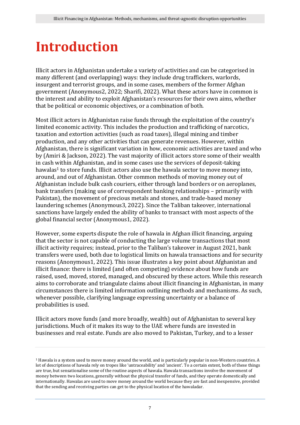### <span id="page-6-0"></span>**Introduction**

Illicit actors in Afghanistan undertake a variety of activities and can be categorised in many different (and overlapping) ways: they include drug traffickers, warlords, insurgent and terrorist groups, and in some cases, members of the former Afghan government (Anonymous2, 2022; Sharifi, 2022). What these actors have in common is the interest and ability to exploit Afghanistan's resources for their own aims, whether that be political or economic objectives, or a combination of both.

Most illicit actors in Afghanistan raise funds through the exploitation of the country's limited economic activity. This includes the production and trafficking of narcotics, taxation and extortion activities (such as road taxes), illegal mining and timber production, and any other activities that can generate revenues. However, within Afghanistan, there is significant variation in how, economic activities are taxed and who by (Amiri & Jackson, 2022). The vast majority of illicit actors store some of their wealth in cash within Afghanistan, and in some cases use the services of deposit-taking hawalas<sup>1</sup> to store funds. Illicit actors also use the hawala sector to move money into, around, and out of Afghanistan. Other common methods of moving money out of Afghanistan include bulk cash couriers, either through land borders or on aeroplanes, bank transfers (making use of correspondent banking relationships – primarily with Pakistan), the movement of precious metals and stones, and trade-based money laundering schemes (Anonymous3, 2022). Since the Taliban takeover, international sanctions have largely ended the ability of banks to transact with most aspects of the global financial sector (Anonymous1, 2022).

However, some experts dispute the role of hawala in Afghan illicit financing, arguing that the sector is not capable of conducting the large volume transactions that most illicit activity requires; instead, prior to the Taliban's takeover in August 2021, bank transfers were used, both due to logistical limits on hawala transactions and for security reasons (Anonymous1, 2022). This issue illustrates a key point about Afghanistan and illicit finance: there is limited (and often competing) evidence about how funds are raised, used, moved, stored, managed, and obscured by these actors. While this research aims to corroborate and triangulate claims about illicit financing in Afghanistan, in many circumstances there is limited information outlining methods and mechanisms. As such, whenever possible, clarifying language expressing uncertainty or a balance of probabilities is used.

Illicit actors move funds (and more broadly, wealth) out of Afghanistan to several key jurisdictions. Much of it makes its way to the UAE where funds are invested in businesses and real estate. Funds are also moved to Pakistan, Turkey, and to a lesser

<sup>1</sup> Hawala is a system used to move money around the world, and is particularly popular in non-Western countries. A lot of descriptions of hawala rely on tropes like 'untraceability' and 'ancient'. To a certain extent, both of these things are true, but sensationalise some of the routine aspects of hawala. Hawala transactions involve the movement of money between two locations, generally without the physical transfer of funds, and they operate domestically and internationally. Hawalas are used to move money around the world because they are fast and inexpensive, provided that the sending and receiving parties can get to the physical location of the hawaladar.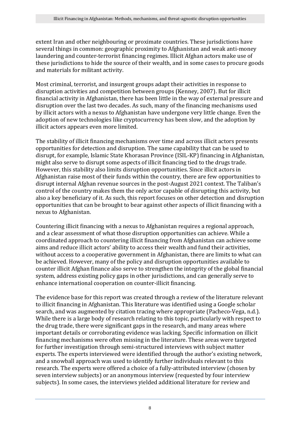extent Iran and other neighbouring or proximate countries. These jurisdictions have several things in common: geographic proximity to Afghanistan and weak anti-money laundering and counter-terrorist financing regimes. Illicit Afghan actors make use of these jurisdictions to hide the source of their wealth, and in some cases to procure goods and materials for militant activity.

Most criminal, terrorist, and insurgent groups adapt their activities in response to disruption activities and competition between groups (Kenney, 2007). But for illicit financial activity in Afghanistan, there has been little in the way of external pressure and disruption over the last two decades. As such, many of the financing mechanisms used by illicit actors with a nexus to Afghanistan have undergone very little change. Even the adoption of new technologies like cryptocurrency has been slow, and the adoption by illicit actors appears even more limited.

The stability of illicit financing mechanisms over time and across illicit actors presents opportunities for detection and disruption. The same capability that can be used to disrupt, for example, Islamic State Khorasan Province (ISIL-KP) financing in Afghanistan, might also serve to disrupt some aspects of illicit financing tied to the drugs trade. However, this stability also limits disruption opportunities. Since illicit actors in Afghanistan raise most of their funds within the country, there are few opportunities to disrupt internal Afghan revenue sources in the post-August 2021 context. The Taliban's control of the country makes them the only actor capable of disrupting this activity, but also a key beneficiary of it. As such, this report focuses on other detection and disruption opportunities that can be brought to bear against other aspects of illicit financing with a nexus to Afghanistan.

Countering illicit financing with a nexus to Afghanistan requires a regional approach, and a clear assessment of what those disruption opportunities can achieve. While a coordinated approach to countering illicit financing from Afghanistan can achieve some aims and reduce illicit actors' ability to access their wealth and fund their activities, without access to a cooperative government in Afghanistan, there are limits to what can be achieved. However, many of the policy and disruption opportunities available to counter illicit Afghan finance also serve to strengthen the integrity of the global financial system, address existing policy gaps in other jurisdictions, and can generally serve to enhance international cooperation on counter-illicit financing.

The evidence base for this report was created through a review of the literature relevant to illicit financing in Afghanistan. This literature was identified using a Google scholar search, and was augmented by citation tracing where appropriate (Pacheco-Vega, n.d.). While there is a large body of research relating to this topic, particularly with respect to the drug trade, there were significant gaps in the research, and many areas where important details or corroborating evidence was lacking. Specific information on illicit financing mechanisms were often missing in the literature. These areas were targeted for further investigation through semi-structured interviews with subject matter experts. The experts interviewed were identified through the author's existing network, and a snowball approach was used to identify further individuals relevant to this research. The experts were offered a choice of a fully-attributed interview (chosen by seven interview subjects) or an anonymous interview (requested by four interview subjects). In some cases, the interviews yielded additional literature for review and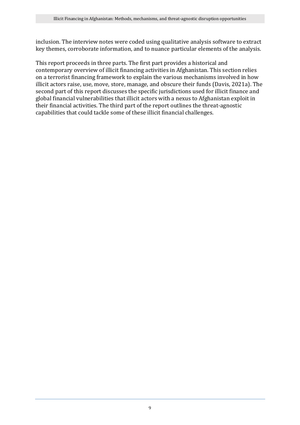inclusion. The interview notes were coded using qualitative analysis software to extract key themes, corroborate information, and to nuance particular elements of the analysis.

This report proceeds in three parts. The first part provides a historical and contemporary overview of illicit financing activities in Afghanistan. This section relies on a terrorist financing framework to explain the various mechanisms involved in how illicit actors raise, use, move, store, manage, and obscure their funds (Davis, 2021a). The second part of this report discusses the specific jurisdictions used for illicit finance and global financial vulnerabilities that illicit actors with a nexus to Afghanistan exploit in their financial activities. The third part of the report outlines the threat-agnostic capabilities that could tackle some of these illicit financial challenges.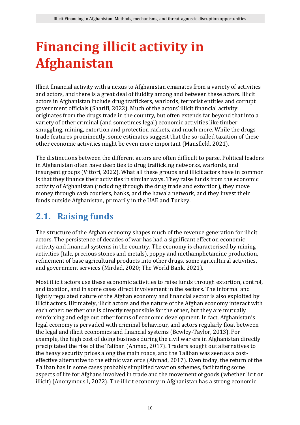# <span id="page-9-0"></span>**Financing illicit activity in Afghanistan**

Illicit financial activity with a nexus to Afghanistan emanates from a variety of activities and actors, and there is a great deal of fluidity among and between these actors. Illicit actors in Afghanistan include drug traffickers, warlords, terrorist entities and corrupt government officials (Sharifi, 2022). Much of the actors' illicit financial activity originates from the drugs trade in the country, but often extends far beyond that into a variety of other criminal (and sometimes legal) economic activities like timber smuggling, mining, extortion and protection rackets, and much more. While the drugs trade features prominently, some estimates suggest that the so-called taxation of these other economic activities might be even more important (Mansfield, 2021).

The distinctions between the different actors are often difficult to parse. Political leaders in Afghanistan often have deep ties to drug trafficking networks, warlords, and insurgent groups (Vittori, 2022). What all these groups and illicit actors have in common is that they finance their activities in similar ways. They raise funds from the economic activity of Afghanistan (including through the drug trade and extortion), they move money through cash couriers, banks, and the hawala network, and they invest their funds outside Afghanistan, primarily in the UAE and Turkey.

### <span id="page-9-1"></span>**2.1. Raising funds**

The structure of the Afghan economy shapes much of the revenue generation for illicit actors. The persistence of decades of war has had a significant effect on economic activity and financial systems in the country. The economy is characterised by mining activities (talc, precious stones and metals), poppy and methamphetamine production, refinement of base agricultural products into other drugs, some agricultural activities, and government services (Mirdad, 2020; The World Bank, 2021).

Most illicit actors use these economic activities to raise funds through extortion, control, and taxation, and in some cases direct involvement in the sectors. The informal and lightly regulated nature of the Afghan economy and financial sector is also exploited by illicit actors. Ultimately, illicit actors and the nature of the Afghan economy interact with each other: neither one is directly responsible for the other, but they are mutually reinforcing and edge out other forms of economic development. In fact, Afghanistan's legal economy is pervaded with criminal behaviour, and actors regularly float between the legal and illicit economies and financial systems (Bewley-Taylor, 2013). For example, the high cost of doing business during the civil war era in Afghanistan directly precipitated the rise of the Taliban (Ahmad, 2017). Traders sought out alternatives to the heavy security prices along the main roads, and the Taliban was seen as a costeffective alternative to the ethnic warlords (Ahmad, 2017). Even today, the return of the Taliban has in some cases probably simplified taxation schemes, facilitating some aspects of life for Afghans involved in trade and the movement of goods (whether licit or illicit) (Anonymous1, 2022). The illicit economy in Afghanistan has a strong economic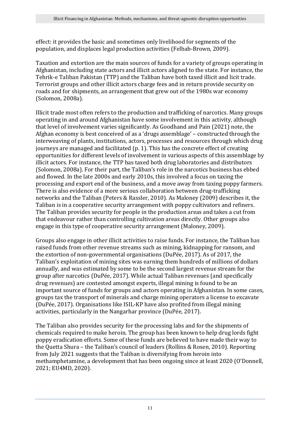effect: it provides the basic and sometimes only livelihood for segments of the population, and displaces legal production activities (Felbab-Brown, 2009).

Taxation and extortion are the main sources of funds for a variety of groups operating in Afghanistan, including state actors and illicit actors aligned to the state. For instance, the Tehrik-e Taliban Pakistan (TTP) and the Taliban have both taxed illicit and licit trade. Terrorist groups and other illicit actors charge fees and in return provide security on roads and for shipments, an arrangement that grew out of the 1980s war economy (Solomon, 2008a).

Illicit trade most often refers to the production and trafficking of narcotics. Many groups operating in and around Afghanistan have some involvement in this activity, although that level of involvement varies significantly. As Goodhand and Pain (2021) note, the Afghan economy is best conceived of as a 'drugs assemblage' – constructed through the interweaving of plants, institutions, actors, processes and resources through which drug journeys are managed and facilitated (p. 1). This has the concrete effect of creating opportunities for different levels of involvement in various aspects of this assemblage by illicit actors. For instance, the TTP has taxed both drug laboratories and distributors (Solomon, 2008a). For their part, the Taliban's role in the narcotics business has ebbed and flowed. In the late 2000s and early 2010s, this involved a focus on taxing the processing and export end of the business, and a move away from taxing poppy farmers. There is also evidence of a more serious collaboration between drug-trafficking networks and the Taliban (Peters & Rassler, 2010). As Maloney (2009) describes it, the Taliban is in a cooperative security arrangement with poppy cultivators and refiners. The Taliban provides security for people in the production areas and takes a cut from that endeavour rather than controlling cultivation areas directly. Other groups also engage in this type of cooperative security arrangement (Maloney, 2009).

Groups also engage in other illicit activities to raise funds. For instance, the Taliban has raised funds from other revenue streams such as mining, kidnapping for ransom, and the extortion of non-governmental organisations (DuPée, 2017). As of 2017, the Taliban's exploitation of mining sites was earning them hundreds of millions of dollars annually, and was estimated by some to be the second largest revenue stream for the group after narcotics (DuPée, 2017). While actual Taliban revenues (and specifically drug revenues) are contested amongst experts, illegal mining is found to be an important source of funds for groups and actors operating in Afghanistan. In some cases, groups tax the transport of minerals and charge mining operators a license to excavate (DuPée, 2017). Organisations like ISIL-KP have also profited from illegal mining activities, particularly in the Nangarhar province (DuPée, 2017).

The Taliban also provides security for the processing labs and for the shipments of chemicals required to make heroin. The group has been known to help drug lords fight poppy eradication efforts. Some of these funds are believed to have made their way to the Quetta Shura – the Taliban's council of leaders (Rollins & Rosen, 2010). Reporting from July 2021 suggests that the Taliban is diversifying from heroin into methamphetamine, a development that has been ongoing since at least 2020 (O'Donnell, 2021; EU4MD, 2020).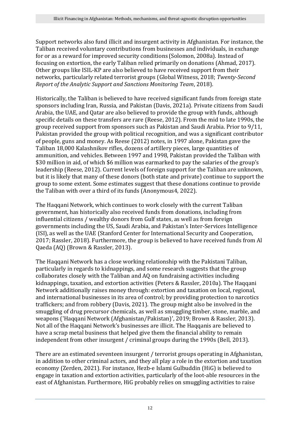Support networks also fund illicit and insurgent activity in Afghanistan. For instance, the Taliban received voluntary contributions from businesses and individuals, in exchange for or as a reward for improved security conditions (Solomon, 2008a). Instead of focusing on extortion, the early Taliban relied primarily on donations (Ahmad, 2017). Other groups like ISIL-KP are also believed to have received support from their networks, particularly related terrorist groups (Global Witness, 2018; *Twenty-Second Report of the Analytic Support and Sanctions Monitoring Team*, 2018).

Historically, the Taliban is believed to have received significant funds from foreign state sponsors including Iran, Russia, and Pakistan (Davis, 2021a). Private citizens from Saudi Arabia, the UAE, and Qatar are also believed to provide the group with funds, although specific details on these transfers are rare (Reese, 2012). From the mid to late 1990s, the group received support from sponsors such as Pakistan and Saudi Arabia. Prior to 9/11, Pakistan provided the group with political recognition, and was a significant contributor of people, guns and money. As Reese (2012) notes, in 1997 alone, Pakistan gave the Taliban 18,000 Kalashnikov rifles, dozens of artillery pieces, large quantities of ammunition, and vehicles. Between 1997 and 1998, Pakistan provided the Taliban with \$30 million in aid, of which \$6 million was earmarked to pay the salaries of the group's leadership (Reese, 2012). Current levels of foreign support for the Taliban are unknown, but it is likely that many of these donors (both state and private) continue to support the group to some extent. Some estimates suggest that these donations continue to provide the Taliban with over a third of its funds (Anonymous4, 2022).

The Haqqani Network, which continues to work closely with the current Taliban government, has historically also received funds from donations, including from influential citizens / wealthy donors from Gulf states, as well as from foreign governments including the US, Saudi Arabia, and Pakistan's Inter-Services Intelligence (ISI), as well as the UAE (Stanford Center for International Security and Cooperation, 2017; Rassler, 2018). Furthermore, the group is believed to have received funds from Al Qaeda (AQ) (Brown & Rassler, 2013).

The Haqqani Network has a close working relationship with the Pakistani Taliban, particularly in regards to kidnappings, and some research suggests that the group collaborates closely with the Taliban and AQ on fundraising activities including kidnappings, taxation, and extortion activities (Peters & Rassler, 2010a). The Haqqani Network additionally raises money through: extortion and taxation on local, regional, and international businesses in its area of control; by providing protection to narcotics traffickers; and from robbery (Davis, 2021). The group might also be involved in the smuggling of drug precursor chemicals, as well as smuggling timber, stone, marble, and weapons ('Haqqani Network (Afghanistan/Pakistan)', 2019; Brown & Rassler, 2013). Not all of the Haqqani Network's businesses are illicit. The Haqqanis are believed to have a scrap metal business that helped give them the financial ability to remain independent from other insurgent / criminal groups during the 1990s (Bell, 2013).

There are an estimated seventeen insurgent / terrorist groups operating in Afghanistan, in addition to other criminal actors, and they all play a role in the extortion and taxation economy (Zerden, 2021). For instance, Hezb-e Islami Gulbuddin (HiG) is believed to engage in taxation and extortion activities, particularly of the loot-able resources in the east of Afghanistan. Furthermore, HiG probably relies on smuggling activities to raise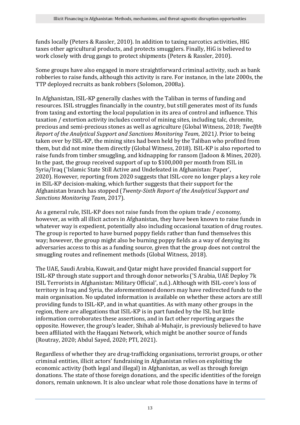funds locally (Peters & Rassler, 2010). In addition to taxing narcotics activities, HIG taxes other agricultural products, and protects smugglers. Finally, HiG is believed to work closely with drug gangs to protect shipments (Peters & Rassler, 2010).

Some groups have also engaged in more straightforward criminal activity, such as bank robberies to raise funds, although this activity is rare. For instance, in the late 2000s, the TTP deployed recruits as bank robbers (Solomon, 2008a).

In Afghanistan, ISIL-KP generally clashes with the Taliban in terms of funding and resources. ISIL struggles financially in the country, but still generates most of its funds from taxing and extorting the local population in its area of control and influence. This taxation / extortion activity includes control of mining sites, including talc, chromite, precious and semi-precious stones as well as agriculture (Global Witness, 2018; *Twelfth Report of the Analytical Support and Sanctions Monitoring Team*, 2021*)*. Prior to being taken over by ISIL-KP, the mining sites had been held by the Taliban who profited from them, but did not mine them directly (Global Witness, 2018). ISIL-KP is also reported to raise funds from timber smuggling, and kidnapping for ransom (Jadoon & Mines, 2020). In the past, the group received support of up to \$100,000 per month from ISIL in Syria/Iraq ('Islamic State Still Active and Undefeated in Afghanistan: Paper', 2020). However, reporting from 2020 suggests that ISIL-core no longer plays a key role in ISIL-KP decision-making, which further suggests that their support for the Afghanistan branch has stopped (*Twenty-Sixth Report of the Analytical Support and Sanctions Monitoring Team*, 2017).

As a general rule, ISIL-KP does not raise funds from the opium trade / economy, however, as with all illicit actors in Afghanistan, they have been known to raise funds in whatever way is expedient, potentially also including occasional taxation of drug routes. The group is reported to have burned poppy fields rather than fund themselves this way; however, the group might also be burning poppy fields as a way of denying its adversaries access to this as a funding source, given that the group does not control the smuggling routes and refinement methods (Global Witness, 2018).

The UAE, Saudi Arabia, Kuwait, and Qatar might have provided financial support for ISIL-KP through state support and through donor networks ('S Arabia, UAE Deploy 7k ISIL Terrorists in Afghanistan: Military Official', n.d.).Although with ISIL-core's loss of territory in Iraq and Syria, the aforementioned donors may have redirected funds to the main organisation. No updated information is available on whether these actors are still providing funds to ISIL-KP, and in what quantities. As with many other groups in the region, there are allegations that ISIL-KP is in part funded by the ISI, but little information corroborates these assertions, and in fact other reporting argues the opposite. However, the group's leader, Shihab al-Muhajir, is previously believed to have been affiliated with the Haqqani Network, which might be another source of funds (Routray, 2020; Abdul Sayed, 2020; PTI, 2021).

Regardless of whether they are drug-trafficking organisations, terrorist groups, or other criminal entities, illicit actors' fundraising in Afghanistan relies on exploiting the economic activity (both legal and illegal) in Afghanistan, as well as through foreign donations. The state of those foreign donations, and the specific identities of the foreign donors, remain unknown. It is also unclear what role those donations have in terms of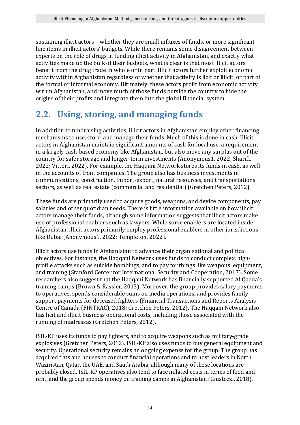sustaining illicit actors – whether they are small influxes of funds, or more significant line items in illicit actors' budgets. While there remains some disagreement between experts on the role of drugs in funding illicit activity in Afghanistan, and exactly what activities make up the bulk of their budgets, what is clear is that most illicit actors benefit from the drug trade in whole or in part. Illicit actors further exploit economic activity within Afghanistan regardless of whether that activity is licit or illicit, or part of the formal or informal economy. Ultimately, these actors profit from economic activity within Afghanistan, and move much of those funds outside the country to hide the origins of their profits and integrate them into the global financial system.

### <span id="page-13-0"></span>**2.2. Using, storing, and managing funds**

In addition to fundraising activities, illicit actors in Afghanistan employ other financing mechanisms to use, store, and manage their funds. Much of this is done in cash. Illicit actors in Afghanistan maintain significant amounts of cash for local use, a requirement in a largely cash-based economy like Afghanistan, but also move any surplus out of the country for safer storage and longer-term investments (Anonymous1, 2022; Sharifi, 2022; Vittori, 2022). For example, the Haqqani Network stores its funds in cash, as well in the accounts of front companies. The group also has business investments in communications, construction, import-export, natural resources, and transportations sectors, as well as real estate (commercial and residential) (Gretchen Peters, 2012).

These funds are primarily used to acquire goods, weapons, and device components, pay salaries and other quotidian needs. There is little information available on how illicit actors manage their funds, although some information suggests that illicit actors make use of professional enablers such as lawyers. While some enablers are located inside Afghanistan, illicit actors primarily employ professional enablers in other jurisdictions like Dubai (Anonymous1, 2022; Templeton, 2022).

Illicit actors use funds in Afghanistan to advance their organisational and political objectives. For instance, the Haqqani Network uses funds to conduct complex, highprofile attacks such as suicide bombings, and to pay for things like weapons, equipment, and training (Stanford Center for International Security and Cooperation, 2017). Some researchers also suggest that the Haqqani Network has financially supported Al Qaeda's training camps (Brown & Rassler, 2013). Moreover, the group provides salary payments to operatives, spends considerable sums on media operations, and provides family support payments for deceased fighters (Financial Transactions and Reports Analysis Centre of Canada (FINTRAC), 2018; Gretchen Peters, 2012). The Haqqani Network also has licit and illicit business operational costs, including those associated with the running of madrassas (Gretchen Peters, 2012).

ISIL-KP uses its funds to pay fighters, and to acquire weapons such as military-grade explosives (Gretchen Peters, 2012). ISIL-KP also uses funds to buy general equipment and security. Operational security remains an ongoing expense for the group. The group has acquired flats and houses to conduct financial operations and to host leaders in North Waziristan, Qatar, the UAE, and Saudi Arabia, although many of these locations are probably closed. ISIL-KP operatives also tend to face inflated costs in terms of food and rent, and the group spends money on training camps in Afghanistan (Giustozzi, 2018).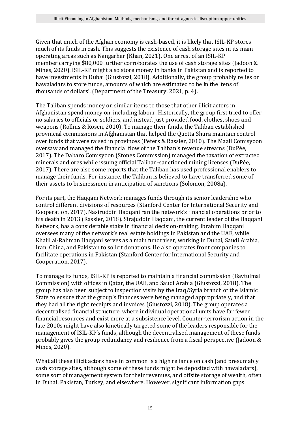Given that much of the Afghan economy is cash-based, it is likely that ISIL-KP stores much of its funds in cash. This suggests the existence of cash storage sites in its main operating areas such as Nangarhar (Khan, 2021). One arrest of an ISIL-KP member carrying \$80,000 further corroborates the use of cash storage sites (Jadoon & Mines, 2020). ISIL-KP might also store money in banks in Pakistan and is reported to have investments in Dubai (Giustozzi, 2018). Additionally, the group probably relies on hawaladars to store funds, amounts of which are estimated to be in the 'tens of thousands of dollars', (Department of the Treasury, 2021, p. 4).

The Taliban spends money on similar items to those that other illicit actors in Afghanistan spend money on, including labour. Historically, the group first tried to offer no salaries to officials or soldiers, and instead just provided food, clothes, shoes and weapons (Rollins & Rosen, 2010). To manage their funds, the Taliban established provincial commissions in Afghanistan that helped the Quetta Shura maintain control over funds that were raised in provinces (Peters & Rassler, 2010). The Maali Comisyoon oversaw and managed the financial flow of the Taliban's revenue streams (DuPée, 2017). The Dabaro Comisyoon (Stones Commission) managed the taxation of extracted minerals and ores while issuing official Taliban-sanctioned mining licenses (DuPée, 2017). There are also some reports that the Taliban has used professional enablers to manage their funds. For instance, the Taliban is believed to have transferred some of their assets to businessmen in anticipation of sanctions (Solomon, 2008a).

For its part, the Haqqani Network manages funds through its senior leadership who control different divisions of resources (Stanford Center for International Security and Cooperation, 2017).Nasiruddin Haqqani ran the network's financial operations prior to his death in 2013 (Rassler, 2018). Sirajuddin Haqqani, the current leader of the Haqqani Network, has a considerable stake in financial decision-making. Ibrahim Haqqani oversees many of the network's real estate holdings in Pakistan and the UAE, while Khalil al-Rahman Haqqani serves as a main fundraiser, working in Dubai, Saudi Arabia, Iran, China, and Pakistan to solicit donations. He also operates front companies to facilitate operations in Pakistan (Stanford Center for International Security and Cooperation, 2017).

To manage its funds, ISIL-KP is reported to maintain a financial commission (Baytulmal Commission) with offices in Qatar, the UAE, and Saudi Arabia (Giustozzi, 2018). The group has also been subject to inspection visits by the Iraq/Syria branch of the Islamic State to ensure that the group's finances were being managed appropriately, and that they had all the right receipts and invoices (Giustozzi, 2018). The group operates a decentralised financial structure, where individual operational units have far fewer financial resources and exist more at a subsistence level. Counter-terrorism action in the late 2010s might have also kinetically targeted some of the leaders responsible for the management of ISIL-KP's funds, although the decentralised management of these funds probably gives the group redundancy and resilience from a fiscal perspective (Jadoon & Mines, 2020).

What all these illicit actors have in common is a high reliance on cash (and presumably cash storage sites, although some of these funds might be deposited with hawaladars), some sort of management system for their revenues, and offsite storage of wealth, often in Dubai, Pakistan, Turkey, and elsewhere. However, significant information gaps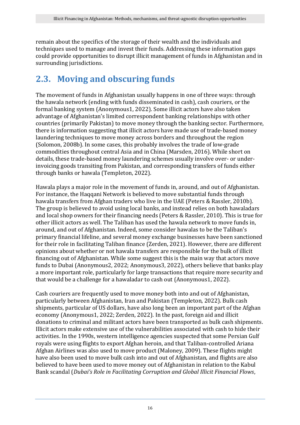remain about the specifics of the storage of their wealth and the individuals and techniques used to manage and invest their funds. Addressing these information gaps could provide opportunities to disrupt illicit management of funds in Afghanistan and in surrounding jurisdictions.

### <span id="page-15-0"></span>**2.3. Moving and obscuring funds**

The movement of funds in Afghanistan usually happens in one of three ways: through the hawala network (ending with funds disseminated in cash), cash couriers, or the formal banking system (Anonymous1, 2022). Some illicit actors have also taken advantage of Afghanistan's limited correspondent banking relationships with other countries (primarily Pakistan) to move money through the banking sector. Furthermore, there is information suggesting that illicit actors have made use of trade-based money laundering techniques to move money across borders and throughout the region (Solomon, 2008b). In some cases, this probably involves the trade of low-grade commodities throughout central Asia and in China (Marsden, 2016). While short on details, these trade-based money laundering schemes usually involve over- or underinvoicing goods transiting from Pakistan, and corresponding transfers of funds either through banks or hawala (Templeton, 2022).

Hawala plays a major role in the movement of funds in, around, and out of Afghanistan. For instance, the Haqqani Network is believed to move substantial funds through hawala transfers from Afghan traders who live in the UAE (Peters & Rassler, 2010b). The group is believed to avoid using local banks, and instead relies on both hawaladars and local shop owners for their financing needs (Peters & Rassler, 2010). This is true for other illicit actors as well. The Taliban has used the hawala network to move funds in, around, and out of Afghanistan. Indeed, some consider hawalas to be the Taliban's primary financial lifeline, and several money exchange businesses have been sanctioned for their role in facilitating Taliban finance (Zerden, 2021). However, there are different opinions about whether or not hawala transfers are responsible for the bulk of illicit financing out of Afghanistan. While some suggest this is the main way that actors move funds to Dubai (Anonymous2, 2022; Anonymous3, 2022), others believe that banks play a more important role, particularly for large transactions that require more security and that would be a challenge for a hawaladar to cash out (Anonymous1, 2022).

Cash couriers are frequently used to move money both into and out of Afghanistan, particularly between Afghanistan, Iran and Pakistan (Templeton, 2022). Bulk cash shipments, particular of US dollars, have also long been an important part of the Afghan economy (Anonymous1, 2022; Zerden, 2022). In the past, foreign aid and illicit donations to criminal and militant actors have been transported as bulk cash shipments. Illicit actors make extensive use of the vulnerabilities associated with cash to hide their activities. In the 1990s, western intelligence agencies suspected that some Persian Gulf royals were using flights to export Afghan heroin, and that Taliban-controlled Ariana Afghan Airlines was also used to move product (Maloney, 2009). These flights might have also been used to move bulk cash into and out of Afghanistan, and flights are also believed to have been used to move money out of Afghanistan in relation to the Kabul Bank scandal (*Dubai's Role in Facilitating Corruption and Global Illicit Financial Flows*,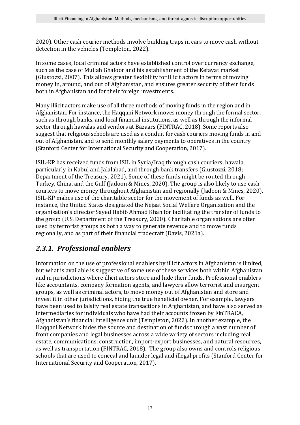2020). Other cash courier methods involve building traps in cars to move cash without detection in the vehicles (Templeton, 2022).

In some cases, local criminal actors have established control over currency exchange, such as the case of Mullah Ghafoor and his establishment of the Kefayat market (Giustozzi, 2007). This allows greater flexibility for illicit actors in terms of moving money in, around, and out of Afghanistan, and ensures greater security of their funds both in Afghanistan and for their foreign investments.

Many illicit actors make use of all three methods of moving funds in the region and in Afghanistan. For instance, the Haqqani Network moves money through the formal sector, such as through banks, and local financial institutions, as well as through the informal sector through hawalas and vendors at Bazaars (FINTRAC, 2018). Some reports also suggest that religious schools are used as a conduit for cash couriers moving funds in and out of Afghanistan, and to send monthly salary payments to operatives in the country (Stanford Center for International Security and Cooperation, 2017).

ISIL-KP has received funds from ISIL in Syria/Iraq through cash couriers, hawala, particularly in Kabul and Jalalabad, and through bank transfers (Giustozzi, 2018; Department of the Treasury, 2021). Some of these funds might be routed through Turkey, China, and the Gulf (Jadoon & Mines, 2020). The group is also likely to use cash couriers to move money throughout Afghanistan and regionally (Jadoon & Mines, 2020). ISIL-KP makes use of the charitable sector for the movement of funds as well. For instance, the United States designated the Nejaat Social Welfare Organization and the organisation's director Sayed Habib Ahmad Khan for facilitating the transfer of funds to the group (U.S. Department of the Treasury, 2020). Charitable organisations are often used by terrorist groups as both a way to generate revenue and to move funds regionally, and as part of their financial tradecraft (Davis, 2021a).

#### <span id="page-16-0"></span>*2.3.1. Professional enablers*

Information on the use of professional enablers by illicit actors in Afghanistan is limited, but what is available is suggestive of some use of these services both within Afghanistan and in jurisdictions where illicit actors store and hide their funds. Professional enablers like accountants, company formation agents, and lawyers allow terrorist and insurgent groups, as well as criminal actors, to move money out of Afghanistan and store and invest it in other jurisdictions, hiding the true beneficial owner. For example, lawyers have been used to falsify real estate transactions in Afghanistan, and have also served as intermediaries for individuals who have had their accounts frozen by FinTRACA, Afghanistan's financial intelligence unit (Templeton, 2022). In another example, the Haqqani Network hides the source and destination of funds through a vast number of front companies and legal businesses across a wide variety of sectors including real estate, communications, construction, import-export businesses, and natural resources, as well as transportation (FINTRAC, 2018). The group also owns and controls religious schools that are used to conceal and launder legal and illegal profits (Stanford Center for International Security and Cooperation, 2017).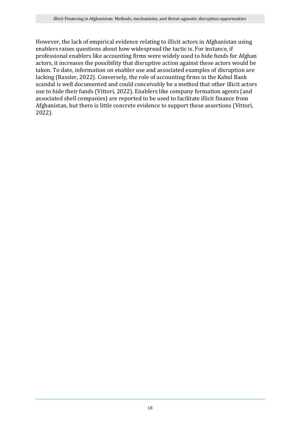However, the lack of empirical evidence relating to illicit actors in Afghanistan using enablers raises questions about how widespread the tactic is. For instance, if professional enablers like accounting firms were widely used to hide funds for Afghan actors, it increases the possibility that disruptive action against these actors would be taken. To date, information on enabler use and associated examples of disruption are lacking (Rassler, 2022). Conversely, the role of accounting firms in the Kabul Bank scandal is well documented and could conceivably be a method that other illicit actors use to hide their funds (Vittori, 2022). Enablers like company formation agents (and associated shell companies) are reported to be used to facilitate illicit finance from Afghanistan, but there is little concrete evidence to support these assertions (Vittori, 2022).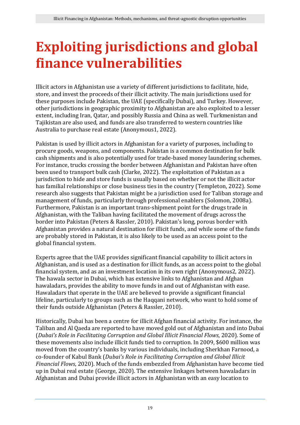# <span id="page-18-0"></span>**Exploiting jurisdictions and global finance vulnerabilities**

Illicit actors in Afghanistan use a variety of different jurisdictions to facilitate, hide, store, and invest the proceeds of their illicit activity. The main jurisdictions used for these purposes include Pakistan, the UAE (specifically Dubai), and Turkey. However, other jurisdictions in geographic proximity to Afghanistan are also exploited to a lesser extent, including Iran, Qatar, and possibly Russia and China as well. Turkmenistan and Tajikistan are also used, and funds are also transferred to western countries like Australia to purchase real estate (Anonymous1, 2022).

Pakistan is used by illicit actors in Afghanistan for a variety of purposes, including to procure goods, weapons, and components. Pakistan is a common destination for bulk cash shipments and is also potentially used for trade-based money laundering schemes. For instance, trucks crossing the border between Afghanistan and Pakistan have often been used to transport bulk cash (Clarke, 2022). The exploitation of Pakistan as a jurisdiction to hide and store funds is usually based on whether or not the illicit actor has familial relationships or close business ties in the country (Templeton, 2022). Some research also suggests that Pakistan might be a jurisdiction used for Taliban storage and management of funds, particularly through professional enablers (Solomon, 2008a). Furthermore, Pakistan is an important trans-shipment point for the drugs trade in Afghanistan, with the Taliban having facilitated the movement of drugs across the border into Pakistan (Peters & Rassler, 2010). Pakistan's long, porous border with Afghanistan provides a natural destination for illicit funds, and while some of the funds are probably stored in Pakistan, it is also likely to be used as an access point to the global financial system.

Experts agree that the UAE provides significant financial capability to illicit actors in Afghanistan, and is used as a destination for illicit funds, as an access point to the global financial system, and as an investment location in its own right (Anonymous2, 2022). The hawala sector in Dubai, which has extensive links to Afghanistan and Afghan hawaladars, provides the ability to move funds in and out of Afghanistan with ease. Hawaladars that operate in the UAE are believed to provide a significant financial lifeline, particularly to groups such as the Haqqani network, who want to hold some of their funds outside Afghanistan (Peters & Rassler, 2010).

Historically, Dubai has been a centre for illicit Afghan financial activity. For instance, the Taliban and Al Qaeda are reported to have moved gold out of Afghanistan and into Dubai (*Dubai's Role in Facilitating Corruption and Global Illicit Financial Flows*, 2020). Some of these movements also include illicit funds tied to corruption. In 2009, \$600 million was moved from the country's banks by various individuals, including Sherkhan Farnood, a co-founder of Kabul Bank (*Dubai's Role in Facilitating Corruption and Global Illicit Financial Flows*, 2020). Much of the funds embezzled from Afghanistan have become tied up in Dubai real estate (George, 2020). The extensive linkages between hawaladars in Afghanistan and Dubai provide illicit actors in Afghanistan with an easy location to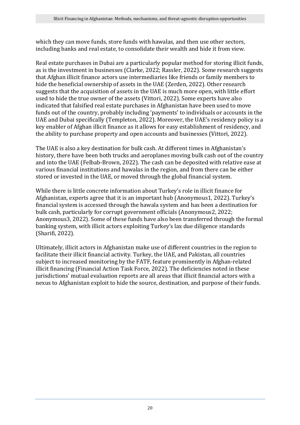which they can move funds, store funds with hawalas, and then use other sectors, including banks and real estate, to consolidate their wealth and hide it from view.

Real estate purchases in Dubai are a particularly popular method for storing illicit funds, as is the investment in businesses (Clarke, 2022; Rassler, 2022). Some research suggests that Afghan illicit finance actors use intermediaries like friends or family members to hide the beneficial ownership of assets in the UAE (Zerden, 2022). Other research suggests that the acquisition of assets in the UAE is much more open, with little effort used to hide the true owner of the assets (Vittori, 2022). Some experts have also indicated that falsified real estate purchases in Afghanistan have been used to move funds out of the country, probably including 'payments' to individuals or accounts in the UAE and Dubai specifically (Templeton, 2022). Moreover, the UAE's residency policy is a key enabler of Afghan illicit finance as it allows for easy establishment of residency, and the ability to purchase property and open accounts and businesses (Vittori, 2022).

The UAE is also a key destination for bulk cash. At different times in Afghanistan's history, there have been both trucks and aeroplanes moving bulk cash out of the country and into the UAE (Felbab-Brown, 2022). The cash can be deposited with relative ease at various financial institutions and hawalas in the region, and from there can be either stored or invested in the UAE, or moved through the global financial system.

While there is little concrete information about Turkey's role in illicit finance for Afghanistan, experts agree that it is an important hub (Anonymous1, 2022). Turkey's financial system is accessed through the hawala system and has been a destination for bulk cash, particularly for corrupt government officials (Anonymous2, 2022; Anonymous3, 2022). Some of these funds have also been transferred through the formal banking system, with illicit actors exploiting Turkey's lax due diligence standards (Sharifi, 2022).

Ultimately, illicit actors in Afghanistan make use of different countries in the region to facilitate their illicit financial activity. Turkey, the UAE, and Pakistan, all countries subject to increased monitoring by the FATF, feature prominently in Afghan-related illicit financing (Financial Action Task Force, 2022). The deficiencies noted in these jurisdictions' mutual evaluation reports are all areas that illicit financial actors with a nexus to Afghanistan exploit to hide the source, destination, and purpose of their funds.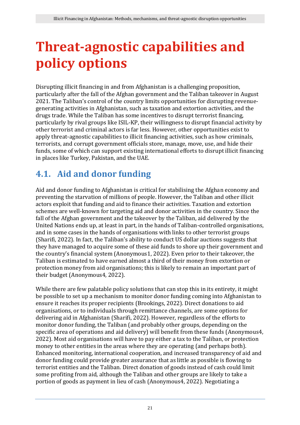# <span id="page-20-0"></span>**Threat-agnostic capabilities and policy options**

Disrupting illicit financing in and from Afghanistan is a challenging proposition, particularly after the fall of the Afghan government and the Taliban takeover in August 2021. The Taliban's control of the country limits opportunities for disrupting revenuegenerating activities in Afghanistan, such as taxation and extortion activities, and the drugs trade. While the Taliban has some incentives to disrupt terrorist financing, particularly by rival groups like ISIL-KP, their willingness to disrupt financial activity by other terrorist and criminal actors is far less. However, other opportunities exist to apply threat-agnostic capabilities to illicit financing activities, such as how criminals, terrorists, and corrupt government officials store, manage, move, use, and hide their funds, some of which can support existing international efforts to disrupt illicit financing in places like Turkey, Pakistan, and the UAE.

### <span id="page-20-1"></span>**4.1. Aid and donor funding**

Aid and donor funding to Afghanistan is critical for stabilising the Afghan economy and preventing the starvation of millions of people. However, the Taliban and other illicit actors exploit that funding and aid to finance their activities. Taxation and extortion schemes are well-known for targeting aid and donor activities in the country. Since the fall of the Afghan government and the takeover by the Taliban, aid delivered by the United Nations ends up, at least in part, in the hands of Taliban-controlled organisations, and in some cases in the hands of organisations with links to other terrorist groups (Sharifi, 2022). In fact, the Taliban's ability to conduct US dollar auctions suggests that they have managed to acquire some of these aid funds to shore up their government and the country's financial system (Anonymous1, 2022). Even prior to their takeover, the Taliban is estimated to have earned almost a third of their money from extortion or protection money from aid organisations; this is likely to remain an important part of their budget (Anonymous4, 2022).

While there are few palatable policy solutions that can stop this in its entirety, it might be possible to set up a mechanism to monitor donor funding coming into Afghanistan to ensure it reaches its proper recipients (Brookings, 2022). Direct donations to aid organisations, or to individuals through remittance channels, are some options for delivering aid in Afghanistan (Sharifi, 2022). However, regardless of the efforts to monitor donor funding, the Taliban (and probably other groups, depending on the specific area of operations and aid delivery) will benefit from these funds (Anonymous4, 2022). Most aid organisations will have to pay either a tax to the Taliban, or protection money to other entities in the areas where they are operating (and perhaps both). Enhanced monitoring, international cooperation, and increased transparency of aid and donor funding could provide greater assurance that as little as possible is flowing to terrorist entities and the Taliban. Direct donation of goods instead of cash could limit some profiting from aid, although the Taliban and other groups are likely to take a portion of goods as payment in lieu of cash (Anonymous4, 2022). Negotiating a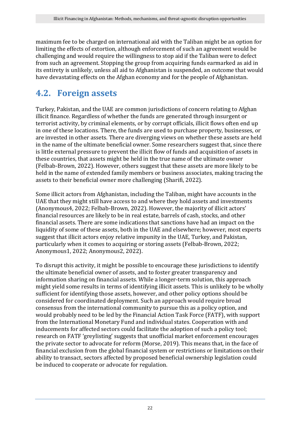maximum fee to be charged on international aid with the Taliban might be an option for limiting the effects of extortion, although enforcement of such an agreement would be challenging and would require the willingness to stop aid if the Taliban were to defect from such an agreement. Stopping the group from acquiring funds earmarked as aid in its entirety is unlikely, unless all aid to Afghanistan is suspended, an outcome that would have devastating effects on the Afghan economy and for the people of Afghanistan.

#### <span id="page-21-0"></span>**4.2. Foreign assets**

Turkey, Pakistan, and the UAE are common jurisdictions of concern relating to Afghan illicit finance. Regardless of whether the funds are generated through insurgent or terrorist activity, by criminal elements, or by corrupt officials, illicit flows often end up in one of these locations. There, the funds are used to purchase property, businesses, or are invested in other assets. There are diverging views on whether these assets are held in the name of the ultimate beneficial owner. Some researchers suggest that, since there is little external pressure to prevent the illicit flow of funds and acquisition of assets in these countries, that assets might be held in the true name of the ultimate owner (Felbab-Brown, 2022). However, others suggest that these assets are more likely to be held in the name of extended family members or business associates, making tracing the assets to their beneficial owner more challenging (Sharifi, 2022).

Some illicit actors from Afghanistan, including the Taliban, might have accounts in the UAE that they might still have access to and where they hold assets and investments (Anonymous4, 2022; Felbab-Brown, 2022). However, the majority of illicit actors' financial resources are likely to be in real estate, barrels of cash, stocks, and other financial assets. There are some indications that sanctions have had an impact on the liquidity of some of these assets, both in the UAE and elsewhere; however, most experts suggest that illicit actors enjoy relative impunity in the UAE, Turkey, and Pakistan, particularly when it comes to acquiring or storing assets (Felbab-Brown, 2022; Anonymous1, 2022; Anonymous2, 2022).

To disrupt this activity, it might be possible to encourage these jurisdictions to identify the ultimate beneficial owner of assets, and to foster greater transparency and information sharing on financial assets. While a longer-term solution, this approach might yield some results in terms of identifying illicit assets. This is unlikely to be wholly sufficient for identifying those assets, however, and other policy options should be considered for coordinated deployment. Such an approach would require broad consensus from the international community to pursue this as a policy option, and would probably need to be led by the Financial Action Task Force (FATF), with support from the International Monetary Fund and individual states. Cooperation with and inducements for affected sectors could facilitate the adoption of such a policy tool; research on FATF 'greylisting' suggests that unofficial market enforcement encourages the private sector to advocate for reform (Morse, 2019). This means that, in the face of financial exclusion from the global financial system or restrictions or limitations on their ability to transact, sectors affected by proposed beneficial ownership legislation could be induced to cooperate or advocate for regulation.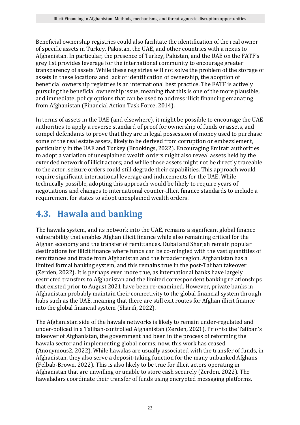Beneficial ownership registries could also facilitate the identification of the real owner of specific assets in Turkey, Pakistan, the UAE, and other countries with a nexus to Afghanistan. In particular, the presence of Turkey, Pakistan, and the UAE on the FATF's grey list provides leverage for the international community to encourage greater transparency of assets. While these registries will not solve the problem of the storage of assets in these locations and lack of identification of ownership, the adoption of beneficial ownership registries is an international best practice. The FATF is actively pursuing the beneficial ownership issue, meaning that this is one of the more plausible, and immediate, policy options that can be used to address illicit financing emanating from Afghanistan (Financial Action Task Force, 2014).

In terms of assets in the UAE (and elsewhere), it might be possible to encourage the UAE authorities to apply a reverse standard of proof for ownership of funds or assets, and compel defendants to prove that they are in legal possession of money used to purchase some of the real estate assets, likely to be derived from corruption or embezzlement, particularly in the UAE and Turkey (Brookings, 2022). Encouraging Emirati authorities to adopt a variation of unexplained wealth orders might also reveal assets held by the extended network of illicit actors; and while those assets might not be directly traceable to the actor, seizure orders could still degrade their capabilities. This approach would require significant international leverage and inducements for the UAE. While technically possible, adopting this approach would be likely to require years of negotiations and changes to international counter-illicit finance standards to include a requirement for states to adopt unexplained wealth orders.

### <span id="page-22-0"></span>**4.3. Hawala and banking**

The hawala system, and its network into the UAE, remains a significant global finance vulnerability that enables Afghan illicit finance while also remaining critical for the Afghan economy and the transfer of remittances. Dubai and Sharjah remain popular destinations for illicit finance where funds can be co-mingled with the vast quantities of remittances and trade from Afghanistan and the broader region. Afghanistan has a limited formal banking system, and this remains true in the post-Taliban takeover (Zerden, 2022). It is perhaps even more true, as international banks have largely restricted transfers to Afghanistan and the limited correspondent banking relationships that existed prior to August 2021 have been re-examined. However, private banks in Afghanistan probably maintain their connectivity to the global financial system through hubs such as the UAE, meaning that there are still exit routes for Afghan illicit finance into the global financial system (Sharifi, 2022).

The Afghanistan side of the hawala networks is likely to remain under-regulated and under-policed in a Taliban-controlled Afghanistan (Zerden, 2021). Prior to the Taliban's takeover of Afghanistan, the government had been in the process of reforming the hawala sector and implementing global norms; now, this work has ceased (Anonymous2, 2022). While hawalas are usually associated with the transfer of funds, in Afghanistan, they also serve a deposit-taking function for the many unbanked Afghans (Felbab-Brown, 2022). This is also likely to be true for illicit actors operating in Afghanistan that are unwilling or unable to store cash securely (Zerden, 2022). The hawaladars coordinate their transfer of funds using encrypted messaging platforms,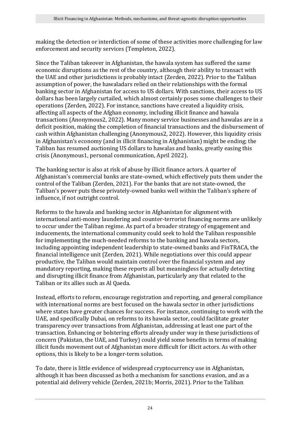making the detection or interdiction of some of these activities more challenging for law enforcement and security services (Templeton, 2022).

Since the Taliban takeover in Afghanistan, the hawala system has suffered the same economic disruptions as the rest of the country, although their ability to transact with the UAE and other jurisdictions is probably intact (Zerden, 2022). Prior to the Taliban assumption of power, the hawaladars relied on their relationships with the formal banking sector in Afghanistan for access to US dollars. With sanctions, their access to US dollars has been largely curtailed, which almost certainly poses some challenges to their operations (Zerden, 2022). For instance, sanctions have created a liquidity crisis, affecting all aspects of the Afghan economy, including illicit finance and hawala transactions (Anonymous2, 2022). Many money service businesses and hawalas are in a deficit position, making the completion of financial transactions and the disbursement of cash within Afghanistan challenging (Anonymous2, 2022). However, this liquidity crisis in Afghanistan's economy (and in illicit financing in Afghanistan) might be ending; the Taliban has resumed auctioning US dollars to hawalas and banks, greatly easing this crisis (Anonymous1, personal communication, April 2022).

The banking sector is also at risk of abuse by illicit finance actors. A quarter of Afghanistan's commercial banks are state-owned, which effectively puts them under the control of the Taliban (Zerden, 2021). For the banks that are not state-owned, the Taliban's power puts these privately-owned banks well within the Taliban's sphere of influence, if not outright control.

Reforms to the hawala and banking sector in Afghanistan for alignment with international anti-money laundering and counter-terrorist financing norms are unlikely to occur under the Taliban regime. As part of a broader strategy of engagement and inducements, the international community could seek to hold the Taliban responsible for implementing the much-needed reforms to the banking and hawala sectors, including appointing independent leadership to state-owned banks and FinTRACA, the financial intelligence unit (Zerden, 2021). While negotiations over this could appear productive, the Taliban would maintain control over the financial system and any mandatory reporting, making these reports all but meaningless for actually detecting and disrupting illicit finance from Afghanistan, particularly any that related to the Taliban or its allies such as Al Qaeda.

Instead, efforts to reform, encourage registration and reporting, and general compliance with international norms are best focused on the hawala sector in other jurisdictions where states have greater chances for success. For instance, continuing to work with the UAE, and specifically Dubai, on reforms to its hawala sector, could facilitate greater transparency over transactions from Afghanistan, addressing at least one part of the transaction. Enhancing or bolstering efforts already under way in these jurisdictions of concern (Pakistan, the UAE, and Turkey) could yield some benefits in terms of making illicit funds movement out of Afghanistan more difficult for illicit actors. As with other options, this is likely to be a longer-term solution.

To date, there is little evidence of widespread cryptocurrency use in Afghanistan, although it has been discussed as both a mechanism for sanctions evasion, and as a potential aid delivery vehicle (Zerden, 2021b; Morris, 2021). Prior to the Taliban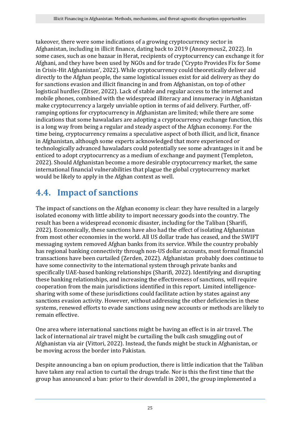takeover, there were some indications of a growing cryptocurrency sector in Afghanistan, including in illicit finance, dating back to 2019 (Anonymous2, 2022). In some cases, such as one bazaar in Herat, recipients of cryptocurrency can exchange it for Afghani, and they have been used by NGOs and for trade ('Crypto Provides Fix for Some in Crisis-Hit Afghanistan', 2022). While cryptocurrency could theoretically deliver aid directly to the Afghan people, the same logistical issues exist for aid delivery as they do for sanctions evasion and illicit financing in and from Afghanistan, on top of other logistical hurdles (Zitser, 2022). Lack of stable and regular access to the internet and mobile phones, combined with the widespread illiteracy and innumeracy in Afghanistan make cryptocurrency a largely unviable option in terms of aid delivery. Further, offramping options for cryptocurrency in Afghanistan are limited; while there are some indications that some hawaladars are adopting a cryptocurrency exchange function, this is a long way from being a regular and steady aspect of the Afghan economy. For the time being, cryptocurrency remains a speculative aspect of both illicit, and licit, finance in Afghanistan, although some experts acknowledged that more experienced or technologically advanced hawaladars could potentially see some advantages in it and be enticed to adopt cryptocurrency as a medium of exchange and payment (Templeton, 2022). Should Afghanistan become a more desirable cryptocurrency market, the same international financial vulnerabilities that plague the global cryptocurrency market would be likely to apply in the Afghan context as well.

### <span id="page-24-0"></span>**4.4. Impact of sanctions**

The impact of sanctions on the Afghan economy is clear: they have resulted in a largely isolated economy with little ability to import necessary goods into the country. The result has been a widespread economic disaster, including for the Taliban (Sharifi, 2022). Economically, these sanctions have also had the effect of isolating Afghanistan from most other economies in the world. All US dollar trade has ceased, and the SWIFT messaging system removed Afghan banks from its service. While the country probably has regional banking connectivity through non-US dollar accounts, most formal financial transactions have been curtailed (Zerden, 2022). Afghanistan probably does continue to have some connectivity to the international system through private banks and specifically UAE-based banking relationships (Sharifi, 2022). Identifying and disrupting these banking relationships, and increasing the effectiveness of sanctions, will require cooperation from the main jurisdictions identified in this report. Limited intelligencesharing with some of these jurisdictions could facilitate action by states against any sanctions evasion activity. However, without addressing the other deficiencies in these systems, renewed efforts to evade sanctions using new accounts or methods are likely to remain effective.

One area where international sanctions might be having an effect is in air travel. The lack of international air travel might be curtailing the bulk cash smuggling out of Afghanistan via air (Vittori, 2022). Instead, the funds might be stuck in Afghanistan, or be moving across the border into Pakistan.

Despite announcing a ban on opium production, there is little indication that the Taliban have taken any real action to curtail the drugs trade. Nor is this the first time that the group has announced a ban: prior to their downfall in 2001, the group implemented a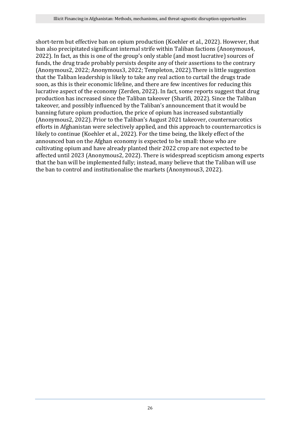short-term but effective ban on opium production (Koehler et al., 2022). However, that ban also precipitated significant internal strife within Taliban factions (Anonymous4, 2022). In fact, as this is one of the group's only stable (and most lucrative) sources of funds, the drug trade probably persists despite any of their assertions to the contrary (Anonymous2, 2022; Anonymous3, 2022; Templeton, 2022).There is little suggestion that the Taliban leadership is likely to take any real action to curtail the drugs trade soon, as this is their economic lifeline, and there are few incentives for reducing this lucrative aspect of the economy (Zerden, 2022). In fact, some reports suggest that drug production has increased since the Taliban takeover (Sharifi, 2022). Since the Taliban takeover, and possibly influenced by the Taliban's announcement that it would be banning future opium production, the price of opium has increased substantially (Anonymous2, 2022). Prior to the Taliban's August 2021 takeover, counternarcotics efforts in Afghanistan were selectively applied, and this approach to counternarcotics is likely to continue (Koehler et al., 2022). For the time being, the likely effect of the announced ban on the Afghan economy is expected to be small: those who are cultivating opium and have already planted their 2022 crop are not expected to be affected until 2023 (Anonymous2, 2022). There is widespread scepticism among experts that the ban will be implemented fully; instead, many believe that the Taliban will use the ban to control and institutionalise the markets (Anonymous3, 2022).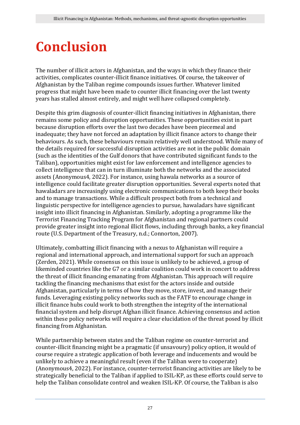### <span id="page-26-0"></span>**Conclusion**

The number of illicit actors in Afghanistan, and the ways in which they finance their activities, complicates counter-illicit finance initiatives. Of course, the takeover of Afghanistan by the Taliban regime compounds issues further. Whatever limited progress that might have been made to counter illicit financing over the last twenty years has stalled almost entirely, and might well have collapsed completely.

Despite this grim diagnosis of counter-illicit financing initiatives in Afghanistan, there remains some policy and disruption opportunities. These opportunities exist in part because disruption efforts over the last two decades have been piecemeal and inadequate; they have not forced an adaptation by illicit finance actors to change their behaviours. As such, these behaviours remain relatively well understood. While many of the details required for successful disruption activities are not in the public domain (such as the identities of the Gulf donors that have contributed significant funds to the Taliban), opportunities might exist for law enforcement and intelligence agencies to collect intelligence that can in turn illuminate both the networks and the associated assets (Anonymous4, 2022). For instance, using hawala networks as a source of intelligence could facilitate greater disruption opportunities. Several experts noted that hawaladars are increasingly using electronic communications to both keep their books and to manage transactions. While a difficult prospect both from a technical and linguistic perspective for intelligence agencies to pursue, hawaladars have significant insight into illicit financing in Afghanistan. Similarly, adopting a programme like the Terrorist Financing Tracking Program for Afghanistan and regional partners could provide greater insight into regional illicit flows, including through banks, a key financial route (U.S. Department of the Treasury, n.d.; Connorton, 2007).

Ultimately, combatting illicit financing with a nexus to Afghanistan will require a regional and international approach, and international support for such an approach (Zerden, 2021). While consensus on this issue is unlikely to be achieved, a group of likeminded countries like the G7 or a similar coalition could work in concert to address the threat of illicit financing emanating from Afghanistan. This approach will require tackling the financing mechanisms that exist for the actors inside and outside Afghanistan, particularly in terms of how they move, store, invest, and manage their funds. Leveraging existing policy networks such as the FATF to encourage change in illicit finance hubs could work to both strengthen the integrity of the international financial system and help disrupt Afghan illicit finance. Achieving consensus and action within these policy networks will require a clear elucidation of the threat posed by illicit financing from Afghanistan.

While partnership between states and the Taliban regime on counter-terrorist and counter-illicit financing might be a pragmatic (if unsavoury) policy option, it would of course require a strategic application of both leverage and inducements and would be unlikely to achieve a meaningful result (even if the Taliban were to cooperate) (Anonymous4, 2022). For instance, counter-terrorist financing activities are likely to be strategically beneficial to the Taliban if applied to ISIL-KP, as these efforts could serve to help the Taliban consolidate control and weaken ISIL-KP. Of course, the Taliban is also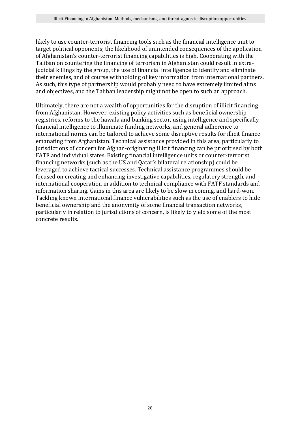likely to use counter-terrorist financing tools such as the financial intelligence unit to target political opponents; the likelihood of unintended consequences of the application of Afghanistan's counter-terrorist financing capabilities is high. Cooperating with the Taliban on countering the financing of terrorism in Afghanistan could result in extrajudicial killings by the group, the use of financial intelligence to identify and eliminate their enemies, and of course withholding of key information from international partners. As such, this type of partnership would probably need to have extremely limited aims and objectives, and the Taliban leadership might not be open to such an approach.

Ultimately, there are not a wealth of opportunities for the disruption of illicit financing from Afghanistan. However, existing policy activities such as beneficial ownership registries, reforms to the hawala and banking sector, using intelligence and specifically financial intelligence to illuminate funding networks, and general adherence to international norms can be tailored to achieve some disruptive results for illicit finance emanating from Afghanistan. Technical assistance provided in this area, particularly to jurisdictions of concern for Afghan-originating illicit financing can be prioritised by both FATF and individual states. Existing financial intelligence units or counter-terrorist financing networks (such as the US and Qatar's bilateral relationship) could be leveraged to achieve tactical successes. Technical assistance programmes should be focused on creating and enhancing investigative capabilities, regulatory strength, and international cooperation in addition to technical compliance with FATF standards and information sharing. Gains in this area are likely to be slow in coming, and hard-won. Tackling known international finance vulnerabilities such as the use of enablers to hide beneficial ownership and the anonymity of some financial transaction networks, particularly in relation to jurisdictions of concern, is likely to yield some of the most concrete results.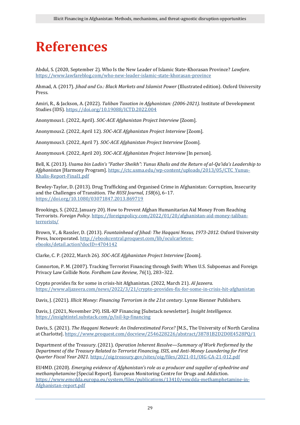### <span id="page-28-0"></span>**References**

Abdul, S. (2020, September 2). Who Is the New Leader of Islamic State-Khorasan Province? *Lawfare*. <https://www.lawfareblog.com/who-new-leader-islamic-state-khorasan-province>

Ahmad, A. (2017). *Jihad and Co.: Black Markets and Islamist Power* (Illustrated edition). Oxford University Press.

Amiri, R., & Jackson, A. (2022). *Taliban Taxation in Afghanistan: (2006-2021)*. Institute of Development Studies (IDS).<https://doi.org/10.19088/ICTD.2022.004>

Anonymous1. (2022, April). *SOC-ACE Afghanistan Project Interview* [Zoom].

Anonymous2. (2022, April 12). *SOC-ACE Afghanistan Project Interview* [Zoom].

Anonymous3. (2022, April 7). *SOC-ACE Afghanistan Project Interview* [Zoom].

Anonymous4. (2022, April 20). *SOC-ACE Afghanistan Project Interview* [In person].

Bell, K. (2013). *Usama bin Ladin's "Father Sheikh": Yunus Khalis and the Return of al-Qa'ida's Leadership to Afghanistan* [Harmony Program][. https://ctc.usma.edu/wp-content/uploads/2013/05/CTC\\_Yunus-](https://ctc.usma.edu/wp-content/uploads/2013/05/CTC_Yunus-Khalis-Report-Final1.pdf)[Khalis-Report-Final1.pdf](https://ctc.usma.edu/wp-content/uploads/2013/05/CTC_Yunus-Khalis-Report-Final1.pdf)

Bewley-Taylor, D. (2013). Drug Trafficking and Organised Crime in Afghanistan: Corruption, Insecurity and the Challenges of Transition. *The RUSI Journal*, *158*(6), 6–17. <https://doi.org/10.1080/03071847.2013.869719>

Brookings, S. (2022, January 20). How to Prevent Afghan Humanitarian Aid Money From Reaching Terrorists. *Foreign Policy*. [https://foreignpolicy.com/2022/01/20/afghanistan-aid-money-taliban](https://foreignpolicy.com/2022/01/20/afghanistan-aid-money-taliban-terrorists/)[terrorists/](https://foreignpolicy.com/2022/01/20/afghanistan-aid-money-taliban-terrorists/)

Brown, V., & Rassler, D. (2013). *Fountainhead of Jihad: The Haqqani Nexus, 1973-2012*. Oxford University Press, Incorporated. [http://ebookcentral.proquest.com/lib/oculcarleton](http://ebookcentral.proquest.com/lib/oculcarleton-ebooks/detail.action?docID=4704142)[ebooks/detail.action?docID=4704142](http://ebookcentral.proquest.com/lib/oculcarleton-ebooks/detail.action?docID=4704142)

Clarke, C. P. (2022, March 26). *SOC-ACE Afghanistan Project Interview* [Zoom].

Connorton, P. M. (2007). Tracking Terrorist Financing through Swift: When U.S. Subpoenas and Foreign Privacy Law Collide Note. *Fordham Law Review*, *76*(1), 283–322.

Crypto provides fix for some in crisis-hit Afghanistan. (2022, March 21). *Al Jazeera*. <https://www.aljazeera.com/news/2022/3/21/crypto-provides-fix-for-some-in-crisis-hit-afghanistan>

Davis, J. (2021). *Illicit Money: Financing Terrorism in the 21st century*. Lynne Rienner Publishers.

Davis, J. (2021, November 29). ISIL-KP Financing [Substack newsletter]. *Insight Intelligence.* <https://insightintel.substack.com/p/isil-kp-financing>

Davis, S. (2021). *The Haqqani Network: An Underestimated Force?* [M.S., The University of North Carolina at Charlotte].<https://www.proquest.com/docview/2546228226/abstract/38781B2D2D0E4528PQ/1>

Department of the Treasury. (2021). *Operation Inherent Resolve—Summary of Work Performed by the Department of the Treasury Related to Terrorist Financing, ISIS, and Anti-Money Laundering for First Quarter Fiscal Year 2021*[. https://oig.treasury.gov/sites/oig/files/2021-01/OIG-CA-21-012.pdf](https://oig.treasury.gov/sites/oig/files/2021-01/OIG-CA-21-012.pdf)

EU4MD. (2020). *Emerging evidence of Afghanistan's role as a producer and supplier of ephedrine and methamphetamine* [Special Report]. European Monitoring Centre for Drugs and Addiction. [https://www.emcdda.europa.eu/system/files/publications/13410/emcdda-methamphetamine-in-](https://www.emcdda.europa.eu/system/files/publications/13410/emcdda-methamphetamine-in-Afghanistan-report.pdf)[Afghanistan-report.pdf](https://www.emcdda.europa.eu/system/files/publications/13410/emcdda-methamphetamine-in-Afghanistan-report.pdf)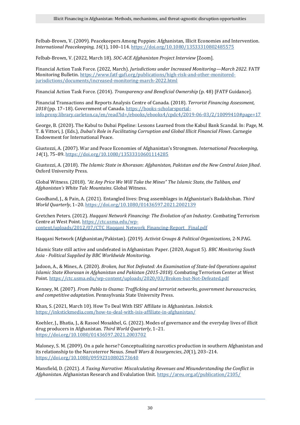Felbab-Brown, V. (2009). Peacekeepers Among Poppies: Afghanistan, Illicit Economies and Intervention. *International Peacekeeping*, *16*(1), 100–114[. https://doi.org/10.1080/13533310802485575](https://doi.org/10.1080/13533310802485575)

Felbab-Brown, V. (2022, March 18). *SOC-ACE Afghanistan Project Interview* [Zoom].

Financial Action Task Force. (2022, March). *Jurisdictions under Increased Monitoring—March 2022*. FATF Monitoring Bulletin. [https://www.fatf-gafi.org/publications/high-risk-and-other-monitored](https://www.fatf-gafi.org/publications/high-risk-and-other-monitored-jurisdictions/documents/increased-monitoring-march-2022.html)[jurisdictions/documents/increased-monitoring-march-2022.html](https://www.fatf-gafi.org/publications/high-risk-and-other-monitored-jurisdictions/documents/increased-monitoring-march-2022.html)

Financial Action Task Force. (2014). *Transparency and Beneficial Ownership* (p. 48) [FATF Guidance].

Financial Transactions and Reports Analysis Centre of Canada. (2018). *Terrorist Financing Assessment, 2018* (pp. 17–18). Government of Canada. [https://books-scholarsportal](https://books-scholarsportal-info.proxy.library.carleton.ca/en/read?id=/ebooks/ebooks4/cpdc4/2019-06-03/2/10099410%23page=17)[info.proxy.library.carleton.ca/en/read?id=/ebooks/ebooks4/cpdc4/2019-06-03/2/10099410#page=17](https://books-scholarsportal-info.proxy.library.carleton.ca/en/read?id=/ebooks/ebooks4/cpdc4/2019-06-03/2/10099410%23page=17)

George, B. (2020). The Kabul to Dubai Pipeline: Lessons Learned from the Kabul Bank Scandal. In: Page, M. T. & Vittori, J. (Eds.), *Dubai's Role in Facilitating Corruption and Global Illicit Financial Flows*. Carnegie Endowment for International Peace.

Giustozzi, A. (2007). War and Peace Economies of Afghanistan's Strongmen. *International Peacekeeping*, *14*(1), 75–89[. https://doi.org/10.1080/13533310601114285](https://doi.org/10.1080/13533310601114285)

Giustozzi, A. (2018). *The Islamic State in Khorasan: Afghanistan, Pakistan and the New Central Asian Jihad*. Oxford University Press.

Global Witness. (2018). *"At Any Price We Will Take the Mines" The Islamic State, the Taliban, and Afghanistan's White Talc Mountains*. Global Witness.

Goodhand, J., & Pain, A. (2021). Entangled lives: Drug assemblages in Afghanistan's Badakhshan. *Third World Quarterly*, 1–20[. https://doi.org/10.1080/01436597.2021.2002139](https://doi.org/10.1080/01436597.2021.2002139)

Gretchen Peters. (2012). *Haqqani Network Financing: The Evolution of an Industry*. Combating Terrorism Centre at West Point. [https://ctc.usma.edu/wp](https://ctc.usma.edu/wp-content/uploads/2012/07/CTC_Haqqani_Network_Financing-Report__Final.pdf)[content/uploads/2012/07/CTC\\_Haqqani\\_Network\\_Financing-Report\\_\\_Final.pdf](https://ctc.usma.edu/wp-content/uploads/2012/07/CTC_Haqqani_Network_Financing-Report__Final.pdf)

Haqqani Network (Afghanistan/Pakistan). (2019). *Activist Groups & Political Organizations*, 2-N.PAG.

Islamic State still active and undefeated in Afghanistan: Paper. (2020, August 5). *BBC Monitoring South Asia - Political Supplied by BBC Worldwide Monitoring*.

Jadoon, A., & Mines, A. (2020). *Broken, but Not Defeated: An Examination of State-led Operations against Islamic State Khorasan in Afghanistan and Pakistan (2015-2018)*. Combating Terrorism Center at West Point.<https://ctc.usma.edu/wp-content/uploads/2020/03/Broken-but-Not-Defeated.pdf>

Kenney, M. (2007). *From Pablo to Osama: Trafficking and terrorist networks, government bureaucracies, and competitive adaptation*. Pennsylvania State University Press.

Khan, S. (2021, March 10). How To Deal With ISIS' Affiliate in Afghanistan. *Inkstick*. <https://inkstickmedia.com/how-to-deal-with-isis-affiliate-in-afghanistan/>

Koehler, J., Bhatia, J., & Rasool Mosakhel, G. (2022). Modes of governance and the everyday lives of illicit drug producers in Afghanistan. *Third World Quarterly*, 1–21. <https://doi.org/10.1080/01436597.2021.2003702>

Maloney, S. M. (2009). On a pale horse? Conceptualizing narcotics production in southern Afghanistan and its relationship to the Narcoterror Nexus. *Small Wars & Insurgencies*, *20*(1), 203–214. <https://doi.org/10.1080/09592310802573640>

Mansfield, D. (2021). *A Taxing Narrative: Miscalculating Revenues and Misunderstanding the Conflict in Afghanistan*. Afghanistan Research and Evalulation Unit.<https://areu.org.af/publication/2105/>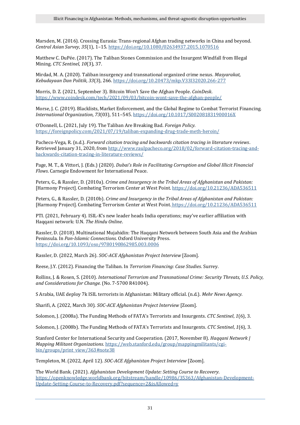Marsden, M. (2016). Crossing Eurasia: Trans-regional Afghan trading networks in China and beyond. *Central Asian Survey*, *35*(1), 1–15[. https://doi.org/10.1080/02634937.2015.1070516](https://doi.org/10.1080/02634937.2015.1070516)

Matthew C. DuPée. (2017). The Taliban Stones Commission and the Insurgent Windfall from Illegal Mining. *CTC Sentinel*, *10*(3), 37.

Mirdad, M. A. (2020). Taliban insurgency and transnational organized crime nexus. *Masyarakat, Kebudayaan Dan Politik*, *33*(3), 266[. https://doi.org/10.20473/mkp.V33I32020.266-277](https://doi.org/10.20473/mkp.V33I32020.266-277)

Morris, D. Z. (2021, September 3). Bitcoin Won't Save the Afghan People. *CoinDesk*. <https://www.coindesk.com/tech/2021/09/03/bitcoin-wont-save-the-afghan-people/>

Morse, J. C. (2019). Blacklists, Market Enforcement, and the Global Regime to Combat Terrorist Financing. *International Organization*, *73*(03), 511–545[. https://doi.org/10.1017/S002081831900016X](https://doi.org/10.1017/S002081831900016X)

O'Donnell, L. (2021, July 19). The Taliban Are Breaking Bad. *Foreign Policy*. <https://foreignpolicy.com/2021/07/19/taliban-expanding-drug-trade-meth-heroin/>

Pacheco-Vega, R. (n.d.). *Forward citation tracing and backwards citation tracing in literature reviews*. Retrieved January 31, 2020, from [http://www.raulpacheco.org/2018/02/forward-citation-tracing-and](http://www.raulpacheco.org/2018/02/forward-citation-tracing-and-backwards-citation-tracing-in-literature-reviews/)[backwards-citation-tracing-in-literature-reviews/](http://www.raulpacheco.org/2018/02/forward-citation-tracing-and-backwards-citation-tracing-in-literature-reviews/)

Page, M. T., & Vittori, J. (Eds.) (2020). *Dubai's Role in Facilitating Corruption and Global Illicit Financial Flows*. Carnegie Endowment for International Peace.

Peters, G., & Rassler, D. (2010a). *Crime and Insurgency in the Tribal Areas of Afghanistan and Pakistan:* [Harmony Project]. Combating Terrorism Center at West Point[. https://doi.org/10.21236/ADA536511](https://doi.org/10.21236/ADA536511)

Peters, G., & Rassler, D. (2010b). *Crime and Insurgency in the Tribal Areas of Afghanistan and Pakistan:* [Harmony Project]. Combating Terrorism Center at West Point. <https://doi.org/10.21236/ADA536511>

PTI. (2021, February 4). ISIL-K's new leader heads India operations; may've earlier affiliation with Haqqani network: U.N. *The Hindu Online*.

Rassler, D. (2018). Multinational Mujahidin: The Haqqani Network between South Asia and the Arabian Peninsula. In *Pan-Islamic Connections*. Oxford University Press. <https://doi.org/10.1093/oso/9780190862985.003.0006>

Rassler, D. (2022, March 26). *SOC-ACE Afghanistan Project Interview* [Zoom].

Reese, J.Y. (2012). Financing the Taliban. In *Terrorism Financing: Case Studies*. Surrey.

Rollins, J. & Rosen, S. (2010). *International Terrorism and Transnational Crime: Security Threats, U.S. Policy, and Considerations for Change.* (No. 7-5700 R41004).

S Arabia, UAE deploy 7k ISIL terrorists in Afghanistan: Military official. (n.d.). *Mehr News Agency*.

Sharifi, A. (2022, March 30). *SOC-ACE Afghanistan Project Interview* [Zoom].

Solomon, J. (2008a). The Funding Methods of FATA's Terrorists and Insurgents. *CTC Sentinel*, *1*(6), 3.

Solomon, J. (2008b). The Funding Methods of FATA's Terrorists and Insurgents. *CTC Sentinel*, *1*(6), 3.

Stanford Center for International Security and Cooperation. (2017, November 8). *Haqqani Network | Mapping Militant Organizations*. [https://web.stanford.edu/group/mappingmilitants/cgi](https://web.stanford.edu/group/mappingmilitants/cgi-bin/groups/print_view/363%23note38)[bin/groups/print\\_view/363#note38](https://web.stanford.edu/group/mappingmilitants/cgi-bin/groups/print_view/363%23note38)

Templeton, M. (2022, April 12). *SOC-ACE Afghanistan Project Interview* [Zoom].

The World Bank. (2021). *Afghanistan Development Update: Setting Course to Recovery*. [https://openknowledge.worldbank.org/bitstream/handle/10986/35363/Afghanistan-Development-](https://openknowledge.worldbank.org/bitstream/handle/10986/35363/Afghanistan-Development-Update-Setting-Course-to-Recovery.pdf?sequence=2&isAllowed=y)[Update-Setting-Course-to-Recovery.pdf?sequence=2&isAllowed=y](https://openknowledge.worldbank.org/bitstream/handle/10986/35363/Afghanistan-Development-Update-Setting-Course-to-Recovery.pdf?sequence=2&isAllowed=y)